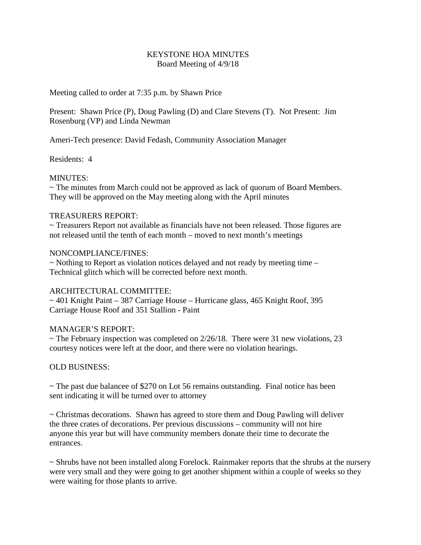## KEYSTONE HOA MINUTES Board Meeting of 4/9/18

Meeting called to order at 7:35 p.m. by Shawn Price

Present: Shawn Price (P), Doug Pawling (D) and Clare Stevens (T). Not Present: Jim Rosenburg (VP) and Linda Newman

Ameri-Tech presence: David Fedash, Community Association Manager

Residents: 4

## MINUTES:

~ The minutes from March could not be approved as lack of quorum of Board Members. They will be approved on the May meeting along with the April minutes

## TREASURERS REPORT:

~ Treasurers Report not available as financials have not been released. Those figures are not released until the tenth of each month – moved to next month's meetings

### NONCOMPLIANCE/FINES:

 $\sim$  Nothing to Report as violation notices delayed and not ready by meeting time – Technical glitch which will be corrected before next month.

# ARCHITECTURAL COMMITTEE:

 $\sim$  401 Knight Paint – 387 Carriage House – Hurricane glass, 465 Knight Roof, 395 Carriage House Roof and 351 Stallion - Paint

# MANAGER'S REPORT:

 $\sim$  The February inspection was completed on 2/26/18. There were 31 new violations, 23 courtesy notices were left at the door, and there were no violation hearings.

### OLD BUSINESS:

 $\sim$  The past due balancee of \$270 on Lot 56 remains outstanding. Final notice has been sent indicating it will be turned over to attorney

~ Christmas decorations. Shawn has agreed to store them and Doug Pawling will deliver the three crates of decorations. Per previous discussions – community will not hire anyone this year but will have community members donate their time to decorate the entrances.

~ Shrubs have not been installed along Forelock. Rainmaker reports that the shrubs at the nursery were very small and they were going to get another shipment within a couple of weeks so they were waiting for those plants to arrive.